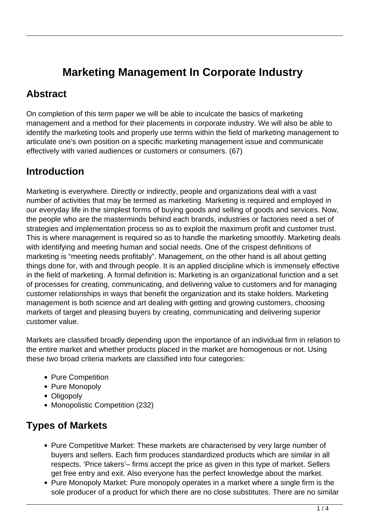# **Marketing Management In Corporate Industry**

#### **Abstract**

On completion of this term paper we will be able to inculcate the basics of marketing management and a method for their placements in corporate industry. We will also be able to identify the marketing tools and properly use terms within the field of marketing management to articulate one's own position on a specific marketing management issue and communicate effectively with varied audiences or customers or consumers. (67)

## **Introduction**

Marketing is everywhere. Directly or indirectly, people and organizations deal with a vast number of activities that may be termed as marketing. Marketing is required and employed in our everyday life in the simplest forms of buying goods and selling of goods and services. Now, the people who are the masterminds behind each brands, industries or factories need a set of strategies and implementation process so as to exploit the maximum profit and customer trust. This is where management is required so as to handle the marketing smoothly. Marketing deals with identifying and meeting human and social needs. One of the crispest definitions of marketing is "meeting needs profitably". Management, on the other hand is all about getting things done for, with and through people. It is an applied discipline which is immensely effective in the field of marketing. A formal definition is: Marketing is an organizational function and a set of processes for creating, communicating, and delivering value to customers and for managing customer relationships in ways that benefit the organization and its stake holders. Marketing management is both science and art dealing with getting and growing customers, choosing markets of target and pleasing buyers by creating, communicating and delivering superior customer value.

Markets are classified broadly depending upon the importance of an individual firm in relation to the entire market and whether products placed in the market are homogenous or not. Using these two broad criteria markets are classified into four categories:

- Pure Competition
- Pure Monopoly
- Oligopoly
- Monopolistic Competition (232)

#### **Types of Markets**

- Pure Competitive Market: These markets are characterised by very large number of buyers and sellers. Each firm produces standardized products which are similar in all respects. 'Price takers'– firms accept the price as given in this type of market. Sellers get free entry and exit. Also everyone has the perfect knowledge about the market.
- Pure Monopoly Market: Pure monopoly operates in a market where a single firm is the sole producer of a product for which there are no close substitutes. There are no similar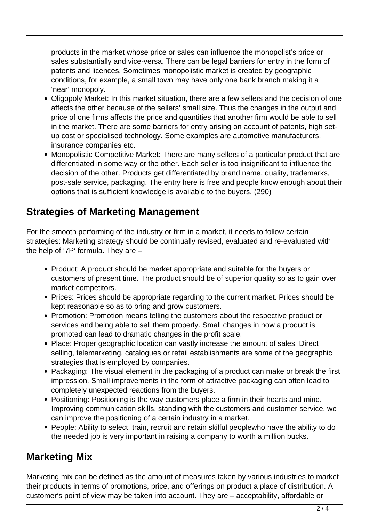products in the market whose price or sales can influence the monopolist's price or sales substantially and vice-versa. There can be legal barriers for entry in the form of patents and licences. Sometimes monopolistic market is created by geographic conditions, for example, a small town may have only one bank branch making it a 'near' monopoly.

- Oligopoly Market: In this market situation, there are a few sellers and the decision of one affects the other because of the sellers' small size. Thus the changes in the output and price of one firms affects the price and quantities that another firm would be able to sell in the market. There are some barriers for entry arising on account of patents, high setup cost or specialised technology. Some examples are automotive manufacturers, insurance companies etc.
- Monopolistic Competitive Market: There are many sellers of a particular product that are differentiated in some way or the other. Each seller is too insignificant to influence the decision of the other. Products get differentiated by brand name, quality, trademarks, post-sale service, packaging. The entry here is free and people know enough about their options that is sufficient knowledge is available to the buyers. (290)

#### **Strategies of Marketing Management**

For the smooth performing of the industry or firm in a market, it needs to follow certain strategies: Marketing strategy should be continually revised, evaluated and re-evaluated with the help of '7P' formula. They are –

- Product: A product should be market appropriate and suitable for the buyers or customers of present time. The product should be of superior quality so as to gain over market competitors.
- Prices: Prices should be appropriate regarding to the current market. Prices should be kept reasonable so as to bring and grow customers.
- Promotion: Promotion means telling the customers about the respective product or services and being able to sell them properly. Small changes in how a product is promoted can lead to dramatic changes in the profit scale.
- Place: Proper geographic location can vastly increase the amount of sales. Direct selling, telemarketing, catalogues or retail establishments are some of the geographic strategies that is employed by companies.
- Packaging: The visual element in the packaging of a product can make or break the first impression. Small improvements in the form of attractive packaging can often lead to completely unexpected reactions from the buyers.
- Positioning: Positioning is the way customers place a firm in their hearts and mind. Improving communication skills, standing with the customers and customer service, we can improve the positioning of a certain industry in a market.
- People: Ability to select, train, recruit and retain skilful peoplewho have the ability to do the needed job is very important in raising a company to worth a million bucks.

## **Marketing Mix**

Marketing mix can be defined as the amount of measures taken by various industries to market their products in terms of promotions, price, and offerings on product a place of distribution. A customer's point of view may be taken into account. They are – acceptability, affordable or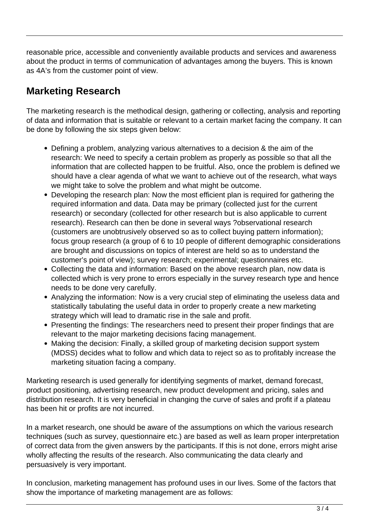reasonable price, accessible and conveniently available products and services and awareness about the product in terms of communication of advantages among the buyers. This is known as 4A's from the customer point of view.

## **Marketing Research**

The marketing research is the methodical design, gathering or collecting, analysis and reporting of data and information that is suitable or relevant to a certain market facing the company. It can be done by following the six steps given below:

- Defining a problem, analyzing various alternatives to a decision & the aim of the research: We need to specify a certain problem as properly as possible so that all the information that are collected happen to be fruitful. Also, once the problem is defined we should have a clear agenda of what we want to achieve out of the research, what ways we might take to solve the problem and what might be outcome.
- Developing the research plan: Now the most efficient plan is required for gathering the required information and data. Data may be primary (collected just for the current research) or secondary (collected for other research but is also applicable to current research). Research can then be done in several ways ?observational research (customers are unobtrusively observed so as to collect buying pattern information); focus group research (a group of 6 to 10 people of different demographic considerations are brought and discussions on topics of interest are held so as to understand the customer's point of view); survey research; experimental; questionnaires etc.
- Collecting the data and information: Based on the above research plan, now data is collected which is very prone to errors especially in the survey research type and hence needs to be done very carefully.
- Analyzing the information: Now is a very crucial step of eliminating the useless data and statistically tabulating the useful data in order to properly create a new marketing strategy which will lead to dramatic rise in the sale and profit.
- Presenting the findings: The researchers need to present their proper findings that are relevant to the major marketing decisions facing management.
- Making the decision: Finally, a skilled group of marketing decision support system (MDSS) decides what to follow and which data to reject so as to profitably increase the marketing situation facing a company.

Marketing research is used generally for identifying segments of market, demand forecast, product positioning, advertising research, new product development and pricing, sales and distribution research. It is very beneficial in changing the curve of sales and profit if a plateau has been hit or profits are not incurred.

In a market research, one should be aware of the assumptions on which the various research techniques (such as survey, questionnaire etc.) are based as well as learn proper interpretation of correct data from the given answers by the participants. If this is not done, errors might arise wholly affecting the results of the research. Also communicating the data clearly and persuasively is very important.

In conclusion, marketing management has profound uses in our lives. Some of the factors that show the importance of marketing management are as follows: